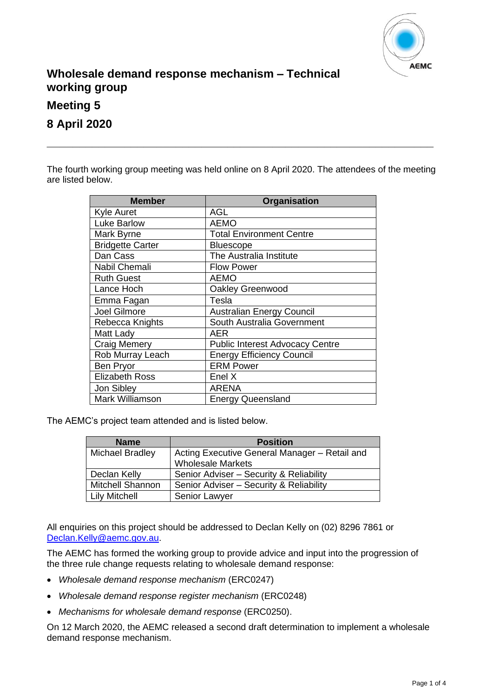

# **Wholesale demand response mechanism – Technical working group**

**Meeting 5**

**8 April 2020**

The fourth working group meeting was held online on 8 April 2020. The attendees of the meeting are listed below.

**\_\_\_\_\_\_\_\_\_\_\_\_\_\_\_\_\_\_\_\_\_\_\_\_\_\_\_\_\_\_\_\_\_\_\_\_\_\_\_\_\_\_\_\_\_\_\_\_\_\_\_\_\_\_\_\_\_\_\_\_**

| <b>Member</b>           | <b>Organisation</b>                    |
|-------------------------|----------------------------------------|
| <b>Kyle Auret</b>       | <b>AGL</b>                             |
| <b>Luke Barlow</b>      | <b>AEMO</b>                            |
| Mark Byrne              | <b>Total Environment Centre</b>        |
| <b>Bridgette Carter</b> | <b>Bluescope</b>                       |
| Dan Cass                | The Australia Institute                |
| Nabil Chemali           | <b>Flow Power</b>                      |
| <b>Ruth Guest</b>       | <b>AEMO</b>                            |
| Lance Hoch              | Oakley Greenwood                       |
| Emma Fagan              | Tesla                                  |
| Joel Gilmore            | <b>Australian Energy Council</b>       |
| Rebecca Knights         | South Australia Government             |
| Matt Lady               | AER                                    |
| <b>Craig Memery</b>     | <b>Public Interest Advocacy Centre</b> |
| Rob Murray Leach        | <b>Energy Efficiency Council</b>       |
| <b>Ben Pryor</b>        | <b>ERM Power</b>                       |
| <b>Elizabeth Ross</b>   | Enel X                                 |
| Jon Sibley              | <b>ARENA</b>                           |
| Mark Williamson         | <b>Energy Queensland</b>               |

The AEMC's project team attended and is listed below.

| <b>Name</b>             | <b>Position</b>                               |
|-------------------------|-----------------------------------------------|
| <b>Michael Bradley</b>  | Acting Executive General Manager - Retail and |
|                         | <b>Wholesale Markets</b>                      |
| Declan Kelly            | Senior Adviser - Security & Reliability       |
| <b>Mitchell Shannon</b> | Senior Adviser - Security & Reliability       |
| <b>Lily Mitchell</b>    | Senior Lawyer                                 |

All enquiries on this project should be addressed to Declan Kelly on (02) 8296 7861 or [Declan.Kelly@aemc.gov.au.](mailto:Declan.Kelly@aemc.gov.au)

The AEMC has formed the working group to provide advice and input into the progression of the three rule change requests relating to wholesale demand response:

- *Wholesale demand response mechanism* (ERC0247)
- *Wholesale demand response register mechanism* (ERC0248)
- *Mechanisms for wholesale demand response* (ERC0250).

On 12 March 2020, the AEMC released a second draft determination to implement a wholesale demand response mechanism.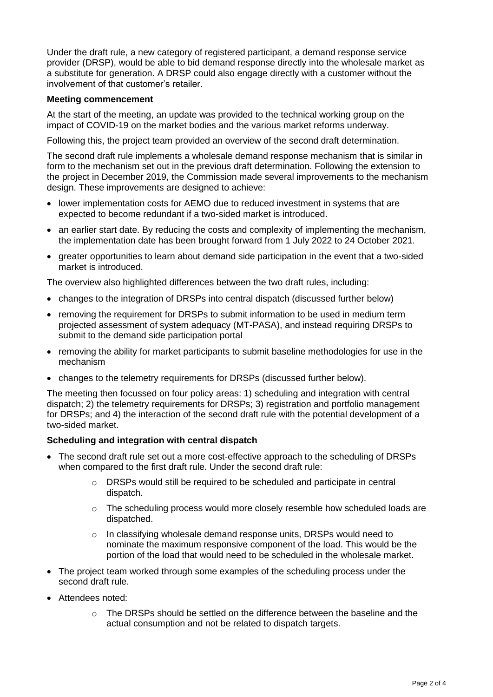Under the draft rule, a new category of registered participant, a demand response service provider (DRSP), would be able to bid demand response directly into the wholesale market as a substitute for generation. A DRSP could also engage directly with a customer without the involvement of that customer's retailer.

#### **Meeting commencement**

At the start of the meeting, an update was provided to the technical working group on the impact of COVID-19 on the market bodies and the various market reforms underway.

Following this, the project team provided an overview of the second draft determination.

The second draft rule implements a wholesale demand response mechanism that is similar in form to the mechanism set out in the previous draft determination. Following the extension to the project in December 2019, the Commission made several improvements to the mechanism design. These improvements are designed to achieve:

- lower implementation costs for AEMO due to reduced investment in systems that are expected to become redundant if a two-sided market is introduced.
- an earlier start date. By reducing the costs and complexity of implementing the mechanism, the implementation date has been brought forward from 1 July 2022 to 24 October 2021.
- greater opportunities to learn about demand side participation in the event that a two-sided market is introduced.

The overview also highlighted differences between the two draft rules, including:

- changes to the integration of DRSPs into central dispatch (discussed further below)
- removing the requirement for DRSPs to submit information to be used in medium term projected assessment of system adequacy (MT-PASA), and instead requiring DRSPs to submit to the demand side participation portal
- removing the ability for market participants to submit baseline methodologies for use in the mechanism
- changes to the telemetry requirements for DRSPs (discussed further below).

The meeting then focussed on four policy areas: 1) scheduling and integration with central dispatch; 2) the telemetry requirements for DRSPs; 3) registration and portfolio management for DRSPs; and 4) the interaction of the second draft rule with the potential development of a two-sided market.

## **Scheduling and integration with central dispatch**

- The second draft rule set out a more cost-effective approach to the scheduling of DRSPs when compared to the first draft rule. Under the second draft rule:
	- o DRSPs would still be required to be scheduled and participate in central dispatch.
	- $\circ$  The scheduling process would more closely resemble how scheduled loads are dispatched.
	- o In classifying wholesale demand response units, DRSPs would need to nominate the maximum responsive component of the load. This would be the portion of the load that would need to be scheduled in the wholesale market.
- The project team worked through some examples of the scheduling process under the second draft rule.
- Attendees noted:
	- $\circ$  The DRSPs should be settled on the difference between the baseline and the actual consumption and not be related to dispatch targets.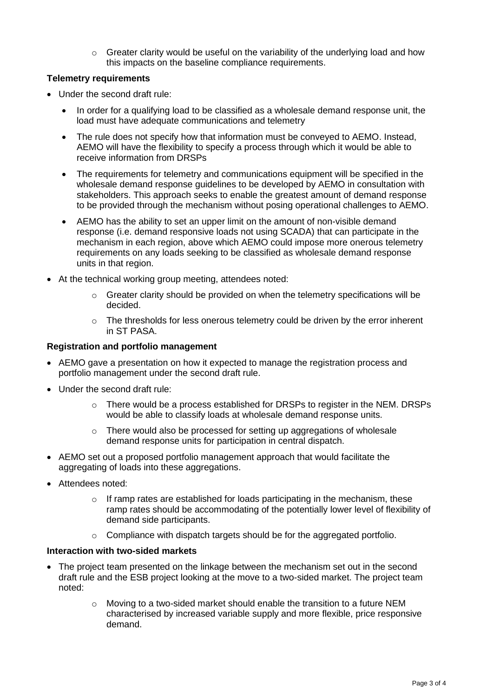$\circ$  Greater clarity would be useful on the variability of the underlying load and how this impacts on the baseline compliance requirements.

# **Telemetry requirements**

- Under the second draft rule:
	- In order for a qualifying load to be classified as a wholesale demand response unit, the load must have adequate communications and telemetry
	- The rule does not specify how that information must be conveyed to AEMO. Instead, AEMO will have the flexibility to specify a process through which it would be able to receive information from DRSPs
	- The requirements for telemetry and communications equipment will be specified in the wholesale demand response guidelines to be developed by AEMO in consultation with stakeholders. This approach seeks to enable the greatest amount of demand response to be provided through the mechanism without posing operational challenges to AEMO.
	- AEMO has the ability to set an upper limit on the amount of non-visible demand response (i.e. demand responsive loads not using SCADA) that can participate in the mechanism in each region, above which AEMO could impose more onerous telemetry requirements on any loads seeking to be classified as wholesale demand response units in that region.
- At the technical working group meeting, attendees noted:
	- $\circ$  Greater clarity should be provided on when the telemetry specifications will be decided.
	- $\circ$  The thresholds for less onerous telemetry could be driven by the error inherent in ST PASA.

# **Registration and portfolio management**

- AEMO gave a presentation on how it expected to manage the registration process and portfolio management under the second draft rule.
- Under the second draft rule:
	- $\circ$  There would be a process established for DRSPs to register in the NEM. DRSPs would be able to classify loads at wholesale demand response units.
	- o There would also be processed for setting up aggregations of wholesale demand response units for participation in central dispatch.
- AEMO set out a proposed portfolio management approach that would facilitate the aggregating of loads into these aggregations.
- Attendees noted:
	- $\circ$  If ramp rates are established for loads participating in the mechanism, these ramp rates should be accommodating of the potentially lower level of flexibility of demand side participants.
	- o Compliance with dispatch targets should be for the aggregated portfolio.

## **Interaction with two-sided markets**

- The project team presented on the linkage between the mechanism set out in the second draft rule and the ESB project looking at the move to a two-sided market. The project team noted:
	- $\circ$  Moving to a two-sided market should enable the transition to a future NEM characterised by increased variable supply and more flexible, price responsive demand.